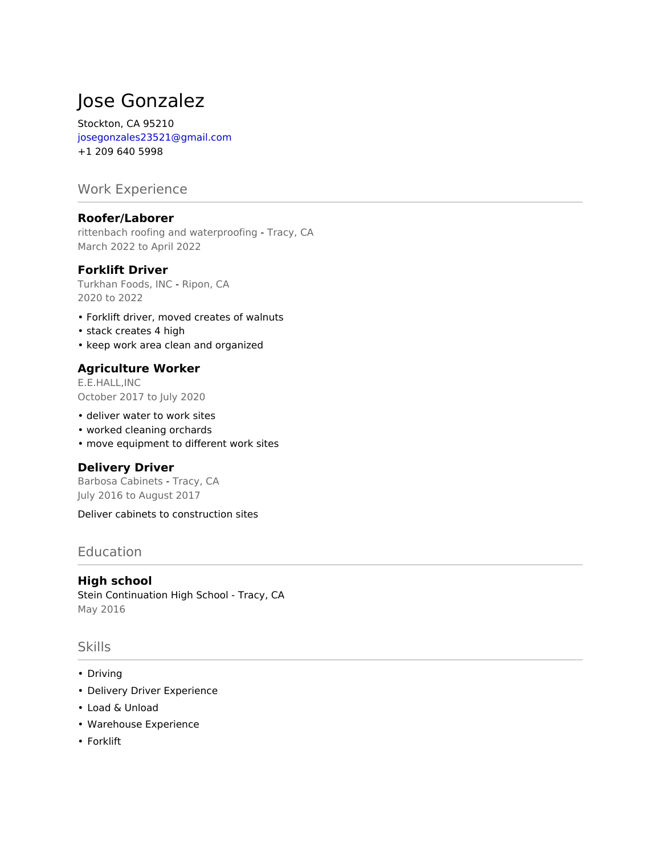# Jose Gonzalez

Stockton, CA 95210 josegonzales23521@gmail.com +1 209 640 5998

# Work Experience

#### **Roofer/Laborer**

rittenbach roofing and waterproofing - Tracy, CA March 2022 to April 2022

#### **Forklift Driver**

Turkhan Foods, INC - Ripon, CA 2020 to 2022

- Forklift driver, moved creates of walnuts
- stack creates 4 high
- keep work area clean and organized

#### **Agriculture Worker**

E.E.HALL,INC October 2017 to July 2020

- deliver water to work sites
- worked cleaning orchards
- move equipment to different work sites

#### **Delivery Driver**

Barbosa Cabinets - Tracy, CA July 2016 to August 2017

Deliver cabinets to construction sites

## Education

#### **High school**

Stein Continuation High School - Tracy, CA May 2016

#### Skills

- Driving
- Delivery Driver Experience
- Load & Unload
- Warehouse Experience
- Forklift